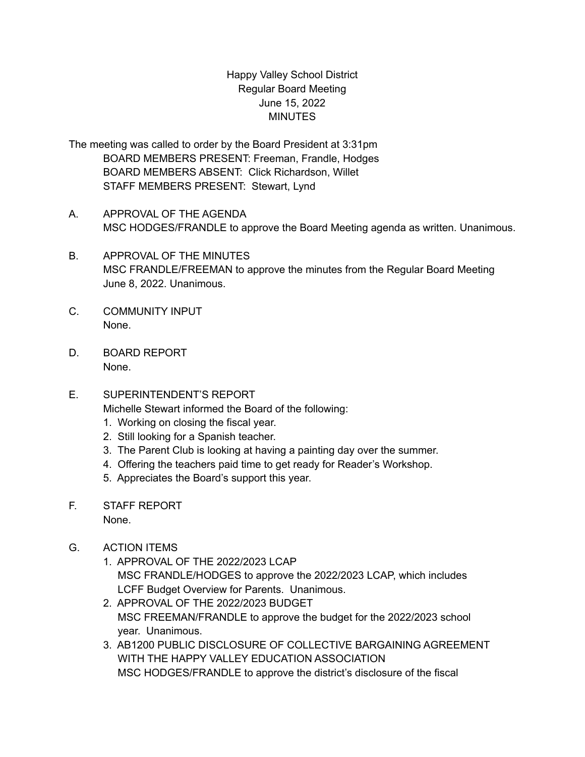## Happy Valley School District Regular Board Meeting June 15, 2022 **MINUTES**

- The meeting was called to order by the Board President at 3:31pm BOARD MEMBERS PRESENT: Freeman, Frandle, Hodges BOARD MEMBERS ABSENT: Click Richardson, Willet STAFF MEMBERS PRESENT: Stewart, Lynd
- A. APPROVAL OF THE AGENDA MSC HODGES/FRANDLE to approve the Board Meeting agenda as written. Unanimous.
- B. APPROVAL OF THE MINUTES MSC FRANDLE/FREEMAN to approve the minutes from the Regular Board Meeting June 8, 2022. Unanimous.
- C. COMMUNITY INPUT None.
- D. BOARD REPORT None.
- E. SUPERINTENDENT'S REPORT

Michelle Stewart informed the Board of the following:

- 1. Working on closing the fiscal year.
- 2. Still looking for a Spanish teacher.
- 3. The Parent Club is looking at having a painting day over the summer.
- 4. Offering the teachers paid time to get ready for Reader's Workshop.
- 5. Appreciates the Board's support this year.
- F. STAFF REPORT None.
- G. ACTION ITEMS
	- 1. APPROVAL OF THE 2022/2023 LCAP MSC FRANDLE/HODGES to approve the 2022/2023 LCAP, which includes LCFF Budget Overview for Parents. Unanimous.
	- 2. APPROVAL OF THE 2022/2023 BUDGET MSC FREEMAN/FRANDLE to approve the budget for the 2022/2023 school year. Unanimous.
	- 3. AB1200 PUBLIC DISCLOSURE OF COLLECTIVE BARGAINING AGREEMENT WITH THE HAPPY VALLEY EDUCATION ASSOCIATION MSC HODGES/FRANDLE to approve the district's disclosure of the fiscal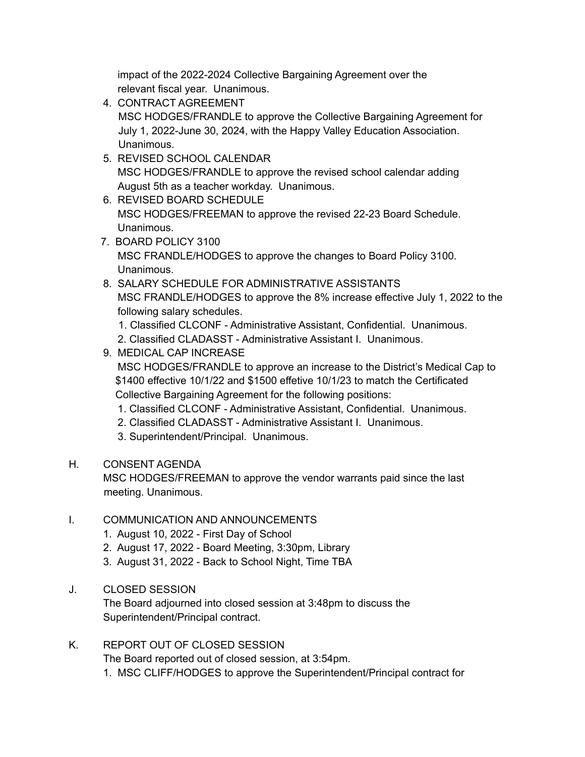impact of the 2022-2024 Collective Bargaining Agreement over the relevant fiscal year. Unanimous.

- 4. CONTRACT AGREEMENT MSC HODGES/FRANDLE to approve the Collective Bargaining Agreement for July 1, 2022-June 30, 2024, with the Happy Valley Education Association. **Unanimous**
- 5. REVISED SCHOOL CALENDAR MSC HODGES/FRANDLE to approve the revised school calendar adding August 5th as a teacher workday. Unanimous.
- 6. REVISED BOARD SCHEDULE MSC HODGES/FREEMAN to approve the revised 22-23 Board Schedule. Unanimous.
- 7. BOARD POLICY 3100 MSC FRANDLE/HODGES to approve the changes to Board Policy 3100. Unanimous.
- 8. SALARY SCHEDULE FOR ADMINISTRATIVE ASSISTANTS MSC FRANDLE/HODGES to approve the 8% increase effective July 1, 2022 to the following salary schedules.
	- 1. Classified CLCONF Administrative Assistant, Confidential. Unanimous.
	- 2. Classified CLADASST Administrative Assistant I. Unanimous.
- 9. MEDICAL CAP INCREASE MSC HODGES/FRANDLE to approve an increase to the District's Medical Cap to \$1400 effective 10/1/22 and \$1500 effetive 10/1/23 to match the Certificated Collective Bargaining Agreement for the following positions:
	- 1. Classified CLCONF Administrative Assistant, Confidential. Unanimous.
	- 2. Classified CLADASST Administrative Assistant I. Unanimous.
	- 3. Superintendent/Principal. Unanimous.

## H. CONSENT AGENDA

MSC HODGES/FREEMAN to approve the vendor warrants paid since the last meeting. Unanimous.

## I. COMMUNICATION AND ANNOUNCEMENTS

- 1. August 10, 2022 First Day of School
- 2. August 17, 2022 Board Meeting, 3:30pm, Library
- 3. August 31, 2022 Back to School Night, Time TBA

## J. CLOSED SESSION

The Board adjourned into closed session at 3:48pm to discuss the Superintendent/Principal contract.

K. REPORT OUT OF CLOSED SESSION

The Board reported out of closed session, at 3:54pm.

1. MSC CLIFF/HODGES to approve the Superintendent/Principal contract for